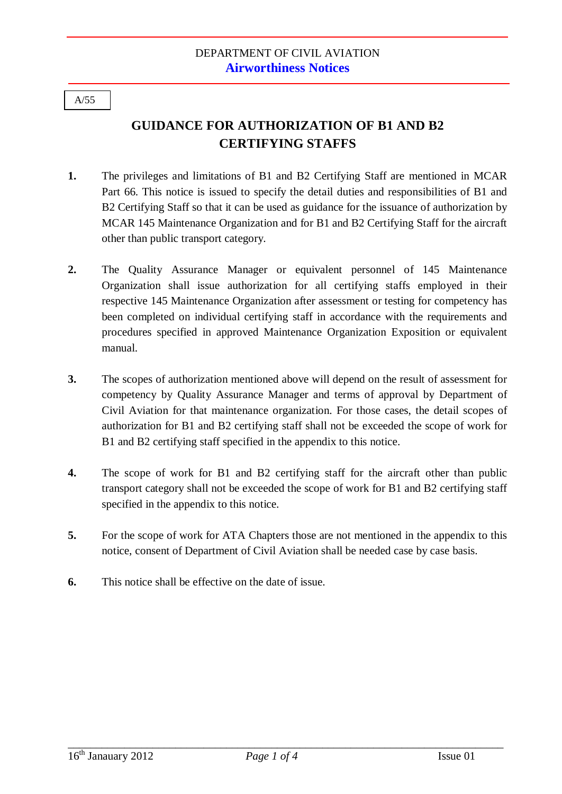#### A/55

# **GUIDANCE FOR AUTHORIZATION OF B1 AND B2 CERTIFYING STAFFS**

- **1.** The privileges and limitations of B1 and B2 Certifying Staff are mentioned in MCAR Part 66. This notice is issued to specify the detail duties and responsibilities of B1 and B2 Certifying Staff so that it can be used as guidance for the issuance of authorization by MCAR 145 Maintenance Organization and for B1 and B2 Certifying Staff for the aircraft other than public transport category.
- **2.** The Quality Assurance Manager or equivalent personnel of 145 Maintenance Organization shall issue authorization for all certifying staffs employed in their respective 145 Maintenance Organization after assessment or testing for competency has been completed on individual certifying staff in accordance with the requirements and procedures specified in approved Maintenance Organization Exposition or equivalent manual.
- **3.** The scopes of authorization mentioned above will depend on the result of assessment for competency by Quality Assurance Manager and terms of approval by Department of Civil Aviation for that maintenance organization. For those cases, the detail scopes of authorization for B1 and B2 certifying staff shall not be exceeded the scope of work for B1 and B2 certifying staff specified in the appendix to this notice.
- **4.** The scope of work for B1 and B2 certifying staff for the aircraft other than public transport category shall not be exceeded the scope of work for B1 and B2 certifying staff specified in the appendix to this notice.
- **5.** For the scope of work for ATA Chapters those are not mentioned in the appendix to this notice, consent of Department of Civil Aviation shall be needed case by case basis.
- **6.** This notice shall be effective on the date of issue.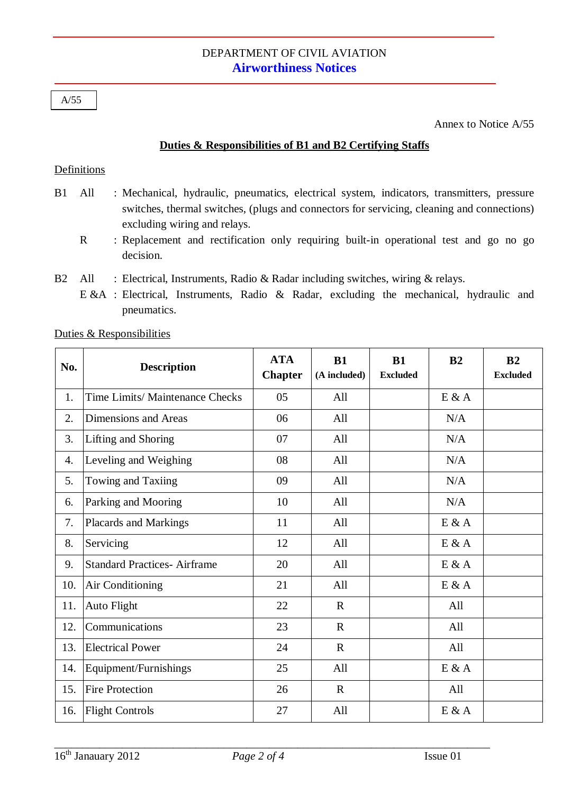## DEPARTMENT OF CIVIL AVIATION **Airworthiness Notices**

A/55

Annex to Notice A/55

### **Duties & Responsibilities of B1 and B2 Certifying Staffs**

#### Definitions

- B1 All : Mechanical, hydraulic, pneumatics, electrical system, indicators, transmitters, pressure switches, thermal switches, (plugs and connectors for servicing, cleaning and connections) excluding wiring and relays.
	- R : Replacement and rectification only requiring built-in operational test and go no go decision.
- B2 All : Electrical, Instruments, Radio & Radar including switches, wiring & relays.
	- E &A : Electrical, Instruments, Radio & Radar, excluding the mechanical, hydraulic and pneumatics.

| No. | <b>Description</b>                 | <b>ATA</b><br><b>Chapter</b> | B1<br>(A included) | B1<br><b>Excluded</b> | B <sub>2</sub> | B <sub>2</sub><br><b>Excluded</b> |
|-----|------------------------------------|------------------------------|--------------------|-----------------------|----------------|-----------------------------------|
| 1.  | Time Limits/ Maintenance Checks    | 05                           | All                |                       | E & A          |                                   |
| 2.  | Dimensions and Areas               | 06                           | All                |                       | N/A            |                                   |
| 3.  | Lifting and Shoring                | 07                           | All                |                       | N/A            |                                   |
| 4.  | Leveling and Weighing              | 08                           | All                |                       | N/A            |                                   |
| 5.  | Towing and Taxiing                 | 09                           | All                |                       | N/A            |                                   |
| 6.  | Parking and Mooring                | 10                           | All                |                       | N/A            |                                   |
| 7.  | Placards and Markings              | 11                           | All                |                       | E & A          |                                   |
| 8.  | Servicing                          | 12                           | All                |                       | E & A          |                                   |
| 9.  | <b>Standard Practices-Airframe</b> | 20                           | All                |                       | $E$ & A        |                                   |
| 10. | Air Conditioning                   | 21                           | All                |                       | E & A          |                                   |
| 11. | Auto Flight                        | 22                           | $\mathbf R$        |                       | All            |                                   |
| 12. | Communications                     | 23                           | $\mathbf R$        |                       | All            |                                   |
| 13. | <b>Electrical Power</b>            | 24                           | $\mathbf R$        |                       | All            |                                   |
| 14. | Equipment/Furnishings              | 25                           | All                |                       | E & A          |                                   |
| 15. | <b>Fire Protection</b>             | 26                           | $\mathbf{R}$       |                       | All            |                                   |
| 16. | <b>Flight Controls</b>             | 27                           | All                |                       | E & A          |                                   |

Duties & Responsibilities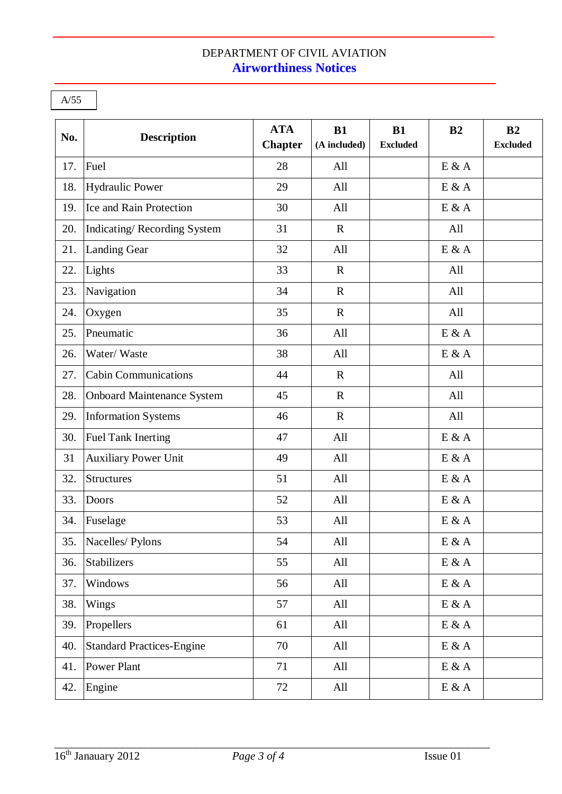# DEPARTMENT OF CIVIL AVIATION **Airworthiness Notices**

A/55

| No. | <b>Description</b>                | <b>ATA</b><br><b>Chapter</b> | B1<br>(A included) | <b>B1</b><br><b>Excluded</b> | B <sub>2</sub>             | B <sub>2</sub><br><b>Excluded</b> |
|-----|-----------------------------------|------------------------------|--------------------|------------------------------|----------------------------|-----------------------------------|
| 17. | Fuel                              | 28                           | All                |                              | E & A                      |                                   |
| 18. | <b>Hydraulic Power</b>            | 29                           | All                |                              | $E$ & $A$                  |                                   |
| 19. | Ice and Rain Protection           | 30                           | All                |                              | E & A                      |                                   |
| 20. | Indicating/Recording System       | 31                           | $\mathbb{R}$       |                              | All                        |                                   |
| 21. | <b>Landing Gear</b>               | 32                           | All                |                              | $E$ & A                    |                                   |
| 22. | Lights                            | 33                           | $\mathbf R$        |                              | All                        |                                   |
| 23. | Navigation                        | 34                           | $\mathbf R$        |                              | All                        |                                   |
| 24. | Oxygen                            | 35                           | $\mathbf R$        |                              | All                        |                                   |
| 25. | Pneumatic                         | 36                           | All                |                              | $E$ & A                    |                                   |
| 26. | Water/Waste                       | 38                           | All                |                              | E & A                      |                                   |
| 27. | <b>Cabin Communications</b>       | 44                           | $\mathbf R$        |                              | All                        |                                   |
| 28. | <b>Onboard Maintenance System</b> | 45                           | $\mathbf R$        |                              | All                        |                                   |
| 29. | <b>Information Systems</b>        | 46                           | $\mathbf R$        |                              | All                        |                                   |
| 30. | <b>Fuel Tank Inerting</b>         | 47                           | All                |                              | E & A                      |                                   |
| 31  | <b>Auxiliary Power Unit</b>       | 49                           | All                |                              | E & A                      |                                   |
| 32. | <b>Structures</b>                 | 51                           | All                |                              | E & A                      |                                   |
| 33. | Doors                             | 52                           | All                |                              | E & A                      |                                   |
| 34. | Fuselage                          | 53                           | All                |                              | $E$ & A                    |                                   |
|     | 35. Nacelles/ Pylons              | 54                           | All                |                              | $E \& A$                   |                                   |
| 36. | Stabilizers                       | 55                           | All                |                              | $E$ & A                    |                                   |
| 37. | Windows                           | 56                           | All                |                              | $E$ & A                    |                                   |
| 38. | Wings                             | 57                           | All                |                              | $\mbox{E} \ \& \ \mbox{A}$ |                                   |
| 39. | Propellers                        | 61                           | All                |                              | $E$ & A                    |                                   |
| 40. | <b>Standard Practices-Engine</b>  | 70                           | All                |                              | $E$ & A                    |                                   |
| 41. | Power Plant                       | 71                           | All                |                              | $E \& A$                   |                                   |
| 42. | Engine                            | 72                           | All                |                              | $E$ & A                    |                                   |

\_\_\_\_\_\_\_\_\_\_\_\_\_\_\_\_\_\_\_\_\_\_\_\_\_\_\_\_\_\_\_\_\_\_\_\_\_\_\_\_\_\_\_\_\_\_\_\_\_\_\_\_\_\_\_\_\_\_\_\_\_\_\_\_\_\_\_\_\_\_\_\_\_\_\_\_\_